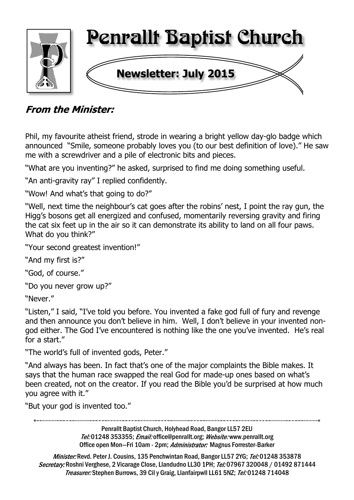

## **From the Minister:**

Phil, my favourite atheist friend, strode in wearing a bright yellow day-glo badge which announced "Smile, someone probably loves you (to our best definition of love)." He saw me with a screwdriver and a pile of electronic bits and pieces.

"What are you inventing?" he asked, surprised to find me doing something useful.

"An anti-gravity ray" I replied confidently.

"Wow! And what's that going to do?"

"Well, next time the neighbour's cat goes after the robins' nest, I point the ray gun, the Higg's bosons get all energized and confused, momentarily reversing gravity and firing the cat six feet up in the air so it can demonstrate its ability to land on all four paws. What do you think?"

"Your second greatest invention!"

"And my first is?"

"God, of course."

"Do you never grow up?"

"Never."

"Listen," I said, "I've told you before. You invented a fake god full of fury and revenge and then announce you don't believe in him. Well, I don't believe in your invented nongod either. The God I've encountered is nothing like the one you've invented. He's real for a start."

"The world's full of invented gods, Peter."

"And always has been. In fact that's one of the major complaints the Bible makes. It says that the human race swapped the real God for made-up ones based on what's been created, not on the creator. If you read the Bible you'd be surprised at how much you agree with it."

"But your god is invented too."

Penrallt Baptist Church, Holyhead Road, Bangor LL57 2EU Tel:01248 353355; Email: office@penrallt.org; Website: www.penrallt.org Office open Mon-Fri 10am - 2pm; Administrator: Magnus Forrester-Barker

Minister: Revd. Peter J. Cousins, 135 Penchwintan Road, Bangor LL57 2YG; Tel: 01248 353878 Secretary: Roshni Verghese, 2 Vicarage Close, Llandudno LL30 1PH; Tel: 07967 320048 / 01492 871444 Treasurer: Stephen Burrows, 39 Cil y Graig, Llanfairpwll LL61 5NZ; Tel: 01248 714048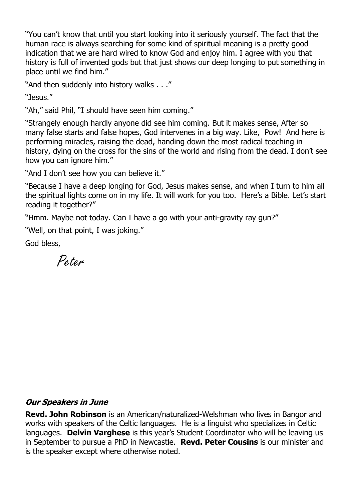"You can't know that until you start looking into it seriously yourself. The fact that the human race is always searching for some kind of spiritual meaning is a pretty good indication that we are hard wired to know God and enjoy him. I agree with you that history is full of invented gods but that just shows our deep longing to put something in place until we find him."

"And then suddenly into history walks . . ."

"Jesus."

"Ah," said Phil, "I should have seen him coming."

"Strangely enough hardly anyone did see him coming. But it makes sense, After so many false starts and false hopes, God intervenes in a big way. Like, Pow! And here is performing miracles, raising the dead, handing down the most radical teaching in history, dying on the cross for the sins of the world and rising from the dead. I don't see how you can ignore him."

"And I don't see how you can believe it."

"Because I have a deep longing for God, Jesus makes sense, and when I turn to him all the spiritual lights come on in my life. It will work for you too. Here's a Bible. Let's start reading it together?"

"Hmm. Maybe not today. Can I have a go with your anti-gravity ray gun?"

"Well, on that point, I was joking."

God bless,

Peter

#### **Our Speakers in June**

**Revd. John Robinson** is an American/naturalized-Welshman who lives in Bangor and works with speakers of the Celtic languages. He is a linguist who specializes in Celtic languages. **Delvin Varghese** is this year's Student Coordinator who will be leaving us in September to pursue a PhD in Newcastle. **Revd. Peter Cousins** is our minister and is the speaker except where otherwise noted.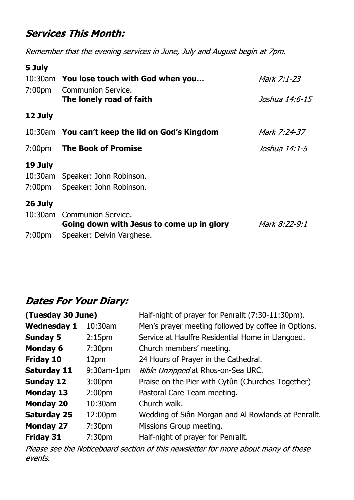## **Services This Month:**

Remember that the evening services in June, July and August begin at 7pm.

| 5 July             |                                                       |                |
|--------------------|-------------------------------------------------------|----------------|
|                    | 10:30am You lose touch with God when you              | Mark 7:1-23    |
| 7:00 <sub>pm</sub> | <b>Communion Service.</b><br>The lonely road of faith | Joshua 14:6-15 |
| 12 July            |                                                       |                |
|                    | 10:30am You can't keep the lid on God's Kingdom       | Mark 7:24-37   |
| 7:00 <sub>pm</sub> | <b>The Book of Promise</b>                            | Joshua 14:1-5  |
| 19 July            |                                                       |                |
| 10:30am            | Speaker: John Robinson.                               |                |
| 7:00 <sub>pm</sub> | Speaker: John Robinson.                               |                |
| 26 July            |                                                       |                |
| $10:30$ am         | Communion Service.                                    |                |
|                    | Going down with Jesus to come up in glory             | Mark 8:22-9:1  |
| 7:00 <sub>pm</sub> | Speaker: Delvin Varghese.                             |                |

## **Dates For Your Diary:**

| (Tuesday 30 June)  |                    | Half-night of prayer for Penrallt (7:30-11:30pm).   |
|--------------------|--------------------|-----------------------------------------------------|
| <b>Wednesday 1</b> | 10:30am            | Men's prayer meeting followed by coffee in Options. |
| <b>Sunday 5</b>    | 2:15 <sub>pm</sub> | Service at Haulfre Residential Home in Llangoed.    |
| <b>Monday 6</b>    | 7:30 <sub>pm</sub> | Church members' meeting.                            |
| Friday 10          | 12pm               | 24 Hours of Prayer in the Cathedral.                |
| <b>Saturday 11</b> | $9:30$ am-1pm      | Bible Unzipped at Rhos-on-Sea URC.                  |
| <b>Sunday 12</b>   | 3:00 <sub>pm</sub> | Praise on the Pier with Cytûn (Churches Together)   |
| <b>Monday 13</b>   | 2:00 <sub>pm</sub> | Pastoral Care Team meeting.                         |
| <b>Monday 20</b>   | 10:30am            | Church walk.                                        |
| <b>Saturday 25</b> | 12:00pm            | Wedding of Siân Morgan and Al Rowlands at Penrallt. |
| <b>Monday 27</b>   | 7:30 <sub>pm</sub> | Missions Group meeting.                             |
| <b>Friday 31</b>   | 7:30 <sub>pm</sub> | Half-night of prayer for Penrallt.                  |

Please see the Noticeboard section of this newsletter for more about many of these events.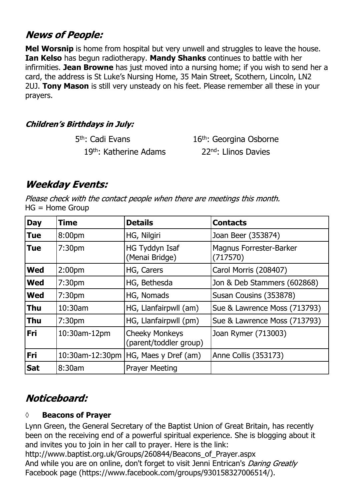## **News of People:**

**Mel Worsnip** is home from hospital but very unwell and struggles to leave the house. **Ian Kelso** has begun radiotherapy. **Mandy Shanks** continues to battle with her infirmities. **Jean Browne** has just moved into a nursing home; if you wish to send her a card, the address is St Luke's Nursing Home, 35 Main Street, Scothern, Lincoln, LN2 2UJ. **Tony Mason** is still very unsteady on his feet. Please remember all these in your prayers.

### **Children's Birthdays in July:**

| 5 <sup>th</sup> : Cadi Evans | 16 <sup>th</sup> : Georgina Osborne |
|------------------------------|-------------------------------------|
| 19th: Katherine Adams        | 22 <sup>nd</sup> : Llinos Davies    |

# **Weekday Events:**

Please check with the contact people when there are meetings this month. HG = Home Group

| <b>Day</b> | <b>Time</b>        | <b>Details</b>                                  | <b>Contacts</b>                            |
|------------|--------------------|-------------------------------------------------|--------------------------------------------|
| <b>Tue</b> | 8:00pm             | HG, Nilgiri                                     | Joan Beer (353874)                         |
| <b>Tue</b> | 7:30 <sub>pm</sub> | HG Tyddyn Isaf<br>(Menai Bridge)                | <b>Magnus Forrester-Barker</b><br>(717570) |
| <b>Wed</b> | 2:00 <sub>pm</sub> | HG, Carers                                      | Carol Morris (208407)                      |
| <b>Wed</b> | 7:30 <sub>pm</sub> | HG, Bethesda                                    | Jon & Deb Stammers (602868)                |
| <b>Wed</b> | 7:30 <sub>pm</sub> | HG, Nomads                                      | Susan Cousins (353878)                     |
| <b>Thu</b> | $10:30$ am         | HG, Llanfairpwll (am)                           | Sue & Lawrence Moss (713793)               |
| <b>Thu</b> | 7:30 <sub>pm</sub> | HG, Llanfairpwll (pm)                           | Sue & Lawrence Moss (713793)               |
| <b>Fri</b> | 10:30am-12pm       | <b>Cheeky Monkeys</b><br>(parent/toddler group) | Joan Rymer (713003)                        |
| Fri        |                    | 10:30am-12:30pm   HG, Maes y Dref (am)          | Anne Collis (353173)                       |
| <b>Sat</b> | 8:30am             | <b>Prayer Meeting</b>                           |                                            |

# Noticeboard:

#### **◊ Beacons of Prayer**

Lynn Green, the General Secretary of the Baptist Union of Great Britain, has recently been on the receiving end of a powerful spiritual experience. She is blogging about it and invites you to join in her call to prayer. Here is the link:

http://www.baptist.org.uk/Groups/260844/Beacons\_of\_Prayer.aspx And while you are on online, don't forget to visit Jenni Entrican's Daring Greatly Facebook page (https://www.facebook.com/groups/930158327006514/).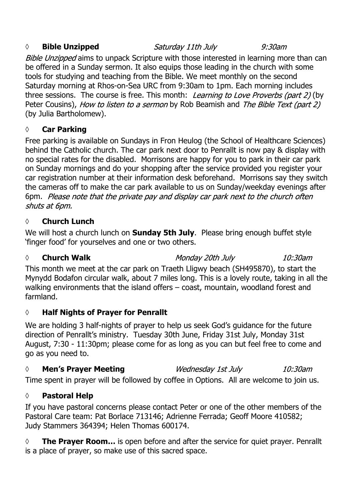#### *◊* **Bible Unzipped**

Saturday 11th July

 $9:30$ am

Bible Unzipped aims to unpack Scripture with those interested in learning more than can be offered in a Sunday sermon. It also equips those leading in the church with some tools for studying and teaching from the Bible. We meet monthly on the second Saturday morning at Rhos-on-Sea URC from 9:30am to 1pm. Each morning includes three sessions. The course is free. This month: Learning to Love Proverbs (part 2) (by Peter Cousins), How to listen to a sermon by Rob Beamish and The Bible Text (part 2) (by Julia Bartholomew).

#### **◊ Car Parking**

Free parking is available on Sundays in Fron Heulog (the School of Healthcare Sciences) behind the Catholic church. The car park next door to Penrallt is now pay & display with no special rates for the disabled. Morrisons are happy for you to park in their car park on Sunday mornings and do your shopping after the service provided you register your car registration number at their information desk beforehand. Morrisons say they switch the cameras off to make the car park available to us on Sunday/weekday evenings after 6pm. Please note that the private pay and display car park next to the church often shuts at 6pm.

#### **◊ Church Lunch**

We will host a church lunch on **Sunday 5th July**. Please bring enough buffet style 'finger food' for yourselves and one or two others.

#### *◊* **Church Walk**

Monday 20th July

 $10:30$ am

This month we meet at the car park on Traeth Lligwy beach (SH495870), to start the Mynydd Bodafon circular walk, about 7 miles long. This is a lovely route, taking in all the walking environments that the island offers – coast, mountain, woodland forest and farmland.

#### **◊ Half Nights of Prayer for Penrallt**

We are holding 3 half-nights of prayer to help us seek God's guidance for the future direction of Penrallt's ministry. Tuesday 30th June, Friday 31st July, Monday 31st August, 7:30 - 11:30pm; please come for as long as you can but feel free to come and go as you need to.

#### *◊* **Men's Prayer Meeting** Wednesday 1st July  $10:30$ am

Time spent in prayer will be followed by coffee in Options. All are welcome to join us.

#### **◊ Pastoral Help**

If you have pastoral concerns please contact Peter or one of the other members of the Pastoral Care team: Pat Borlace 713146; Adrienne Ferrada; Geoff Moore 410582; Judy Stammers 364394; Helen Thomas 600174.

◊ **The Prayer Room…** is open before and after the service for quiet prayer. Penrallt is a place of prayer, so make use of this sacred space.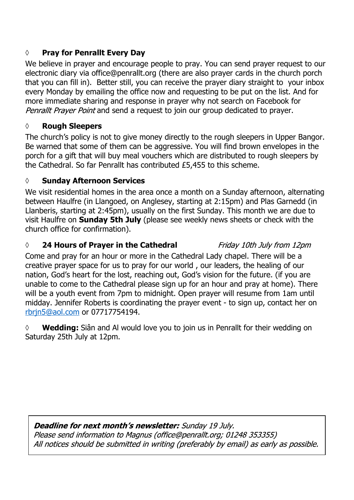#### **◊ Pray for Penrallt Every Day**

We believe in prayer and encourage people to pray. You can send prayer request to our electronic diary via office@penrallt.org (there are also prayer cards in the church porch that you can fill in). Better still, you can receive the prayer diary straight to your inbox every Monday by emailing the office now and requesting to be put on the list. And for more immediate sharing and response in prayer why not search on Facebook for Penrallt Prayer Point and send a request to join our group dedicated to prayer.

#### **◊ Rough Sleepers**

The church's policy is not to give money directly to the rough sleepers in Upper Bangor. Be warned that some of them can be aggressive. You will find brown envelopes in the porch for a gift that will buy meal vouchers which are distributed to rough sleepers by the Cathedral. So far Penrallt has contributed £5,455 to this scheme.

#### **◊ Sunday Afternoon Services**

We visit residential homes in the area once a month on a Sunday afternoon, alternating between Haulfre (in Llangoed, on Anglesey, starting at 2:15pm) and Plas Garnedd (in Llanberis, starting at 2:45pm), usually on the first Sunday. This month we are due to visit Haulfre on **Sunday 5th July** (please see weekly news sheets or check with the church office for confirmation).

#### *◊* **24 Hours of Prayer in the Cathedral**

#### Friday 10th July from 12pm

Come and pray for an hour or more in the Cathedral Lady chapel. There will be a creative prayer space for us to pray for our world , our leaders, the healing of our nation, God's heart for the lost, reaching out, God's vision for the future. (if you are unable to come to the Cathedral please sign up for an hour and pray at home). There will be a youth event from 7pm to midnight. Open prayer will resume from 1am until midday. Jennifer Roberts is coordinating the prayer event - to sign up, contact her on rbrjn5@aol.com or 07717754194.

◊ **Wedding:** Siân and Al would love you to join us in Penrallt for their wedding on Saturday 25th July at 12pm.

Deadline for next month's newsletter: Sunday 19 July. Please send information to Magnus (office@penrallt.org; 01248 353355) All notices should be submitted in writing (preferably by email) as early as possible.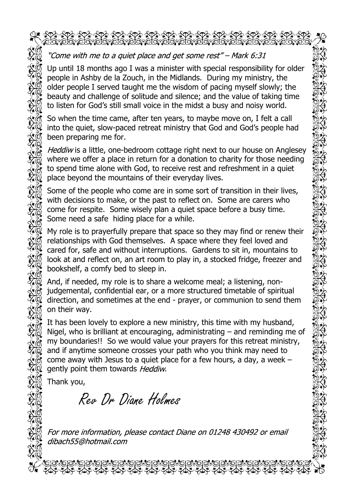#### "Come with me to a quiet place and get some rest" – Mark 6:31

Up until 18 months ago I was a minister with special responsibility for older people in Ashby de la Zouch, in the Midlands. During my ministry, the older people I served taught me the wisdom of pacing myself slowly; the beauty and challenge of solitude and silence; and the value of taking time to listen for God's still small voice in the midst a busy and noisy world.

So when the time came, after ten years, to maybe move on, I felt a call into the quiet, slow-paced retreat ministry that God and God's people had been preparing me for.

Heddiw is a little, one-bedroom cottage right next to our house on Anglesey where we offer a place in return for a donation to charity for those needing to spend time alone with God, to receive rest and refreshment in a quiet place beyond the mountains of their everyday lives.

Some of the people who come are in some sort of transition in their lives, with decisions to make, or the past to reflect on. Some are carers who come for respite. Some wisely plan a quiet space before a busy time. Some need a safe hiding place for a while.

My role is to prayerfully prepare that space so they may find or renew their relationships with God themselves. A space where they feel loved and cared for, safe and without interruptions. Gardens to sit in, mountains to look at and reflect on, an art room to play in, a stocked fridge, freezer and bookshelf, a comfy bed to sleep in.

And, if needed, my role is to share a welcome meal; a listening, nonjudgemental, confidential ear, or a more structured timetable of spiritual direction, and sometimes at the end - prayer, or communion to send them on their way.

It has been lovely to explore a new ministry, this time with my husband, Nigel, who is brilliant at encouraging, administrating – and reminding me of my boundaries!! So we would value your prayers for this retreat ministry, and if anytime someone crosses your path who you think may need to come away with Jesus to a quiet place for a few hours, a day, a week – gently point them towards Heddiw.

Thank you,

Rev Dr Diane Holmes

For more information, please contact Diane on 01248 430492 or email dibach55@hotmail.com